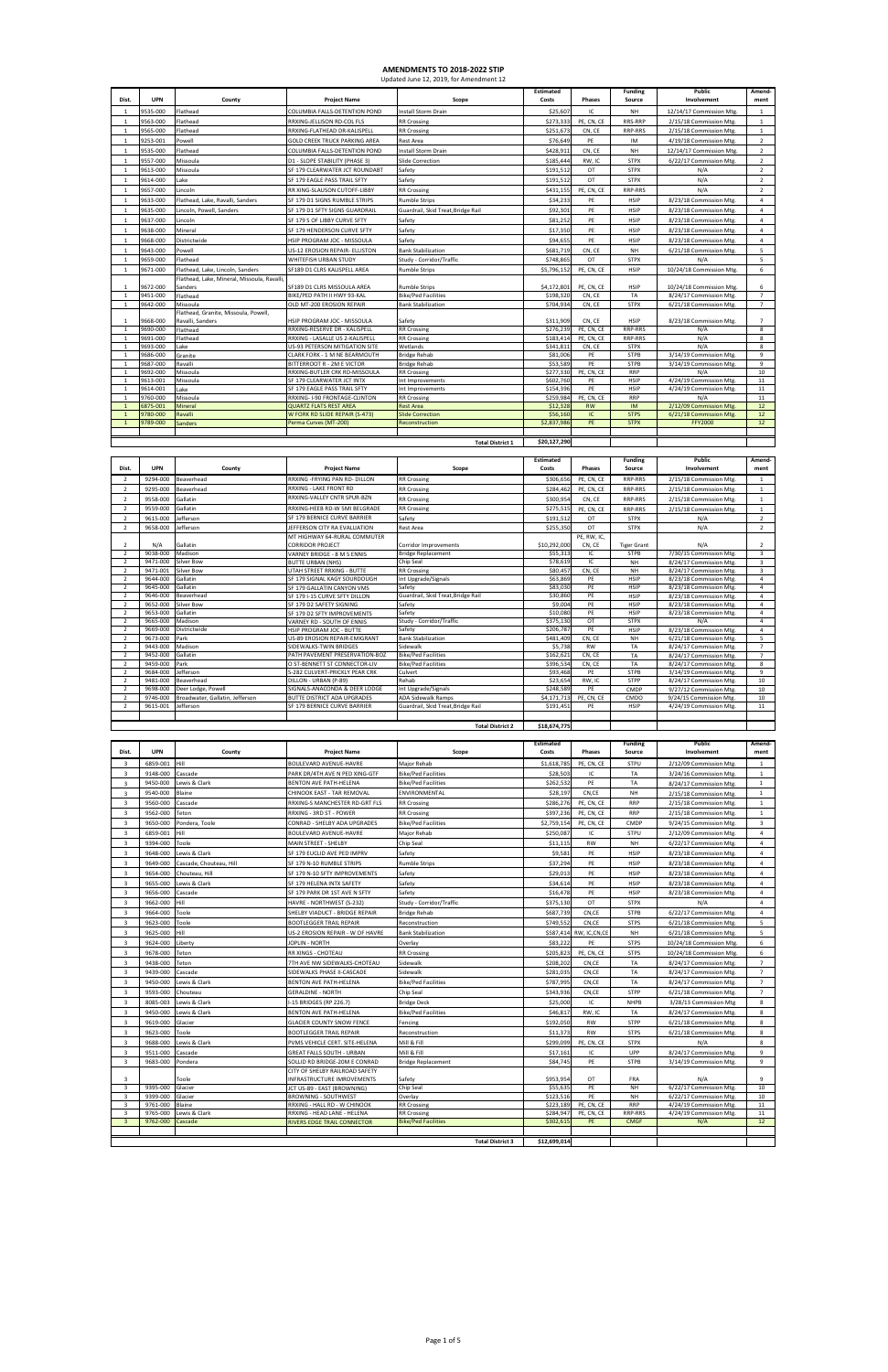| Dist.                    | <b>UPN</b>              | County                          | <b>Project Name</b>                                     | Scope                              | Costs        | Phases                | Source             | Involvement             | ment                    |
|--------------------------|-------------------------|---------------------------------|---------------------------------------------------------|------------------------------------|--------------|-----------------------|--------------------|-------------------------|-------------------------|
| $\overline{2}$           | 9294-000                | Beaverhead                      | RRXING -FRYING PAN RD- DILLON                           | <b>RR Crossing</b>                 | \$306,656    | PE, CN, CE            | RRP-RRS            | 2/15/18 Commission Mtg. | 1                       |
| $\overline{2}$           | 9295-000                | Beaverhead                      | RRXING - LAKE FRONT RD                                  | <b>RR Crossing</b>                 | \$284,462    | PE, CN, CE            | <b>RRP-RRS</b>     | 2/15/18 Commission Mtg. | 1                       |
|                          | 9558-000                | Gallatin                        | RRXING-VALLEY CNTR SPUR-BZN                             | <b>RR Crossing</b>                 | \$300,954    | CN, CE                | <b>RRP-RRS</b>     | 2/15/18 Commission Mtg. | 1                       |
| 2                        | 9559-000                | Gallatin                        | RRXING-HEEB RD-W 5MI BELGRADE                           | <b>RR Crossing</b>                 | \$275,515    | PE, CN, CE            | <b>RRP-RRS</b>     | 2/15/18 Commission Mtg. | 1                       |
|                          | 9615-000                | Jefferson                       | SF 179 BERNICE CURVE BARRIER                            | Safety                             | \$191,512    | OT                    | <b>STPX</b>        | N/A                     | $\overline{2}$          |
| $\overline{2}$           | 9658-000                | Jefferson                       | JEFFERSON CITY RA EVALUATION                            | <b>Rest Area</b>                   | \$255,350    | OT                    | <b>STPX</b>        | N/A                     | $\overline{2}$          |
| $\overline{\phantom{a}}$ | N/A                     | Gallatin                        | MT HIGHWAY 64-RURAL COMMUTER<br><b>CORRIDOR PROJECT</b> | Corridor Improvements              | \$10,292,000 | PE, RW, IC,<br>CN, CE | <b>Tiger Grant</b> | N/A                     | $\overline{2}$          |
| $\overline{2}$           | 9038-000                | Madison                         | VARNEY BRIDGE - 8 M S ENNIS                             | <b>Bridge Replacement</b>          | \$55.313     | IC                    | <b>STPB</b>        | 7/30/15 Commission Mtg. | $\overline{\mathbf{3}}$ |
| 2                        | 9471-000                | Silver Bow                      | <b>BUTTE URBAN (NHS)</b>                                | Chip Seal                          | \$78,619     | IC                    | <b>NH</b>          | 8/24/17 Commission Mtg. | 3                       |
|                          | 9471-001                | <b>Silver Bow</b>               | UTAH STREET RRXING - BUTTE                              | <b>RR Crossing</b>                 | \$80,457     | CN, CE                | <b>NH</b>          | 8/24/17 Commission Mtg. | $\overline{\mathbf{3}}$ |
| 2                        | 9644-000                | Gallatin                        | SF 179 SIGNAL KAGY SOURDOUGH                            | Int Upgrade/Signals                | \$63,869     | PE                    | <b>HSIP</b>        | 8/23/18 Commission Mtg. | $\overline{4}$          |
|                          | 9645-000                | Gallatin                        | SF 179 GALLATIN CANYON VMS                              | Safety                             | \$83,030     | PE                    | <b>HSIP</b>        | 8/23/18 Commission Mtg. | $\overline{a}$          |
|                          | 9646-000                | Beaverhead                      | SF 179 I-15 CURVE SFTY DILLON                           | Guardrail, Skid Treat, Bridge Rail | \$30,860     | PE                    | <b>HSIP</b>        | 8/23/18 Commission Mtg. | 4                       |
|                          | 9652-000                | Silver Bow                      | SF 179 D2 SAFETY SIGNING                                | Safety                             | \$9,004      | PE                    | <b>HSIP</b>        | 8/23/18 Commission Mtg. | 4                       |
| $\overline{2}$           | 9653-000                | Gallatin                        | SF 179 D2 SFTY IMPROVEMENTS                             | Safety                             | \$10,080     | PE                    | <b>HSIP</b>        | 8/23/18 Commission Mtg. | $\overline{a}$          |
| 2                        | 9665-000                | Madison                         | VARNEY RD - SOUTH OF ENNIS                              | Study - Corridor/Traffic           | \$375,130    | OT                    | <b>STPX</b>        | N/A                     | $\overline{a}$          |
|                          | 9669-000                | Districtwide                    | HSIP PROGRAM JOC - BUTTE                                | Safety                             | \$206,787    | PE                    | <b>HSIP</b>        | 8/23/18 Commission Mtg. | 4                       |
|                          | 9673-000                | Park                            | <b>US-89 EROSION REPAIR-EMIGRANT</b>                    | <b>Bank Stabilization</b>          | \$481,409    | CN, CE                | <b>NH</b>          | 6/21/18 Commission Mtg. | 5                       |
| $\overline{2}$           | 9443-000                | Madison                         | SIDEWALKS-TWIN BRIDGES                                  | Sidewalk                           | \$5,738      | <b>RW</b>             | <b>TA</b>          | 8/24/17 Commission Mtg. | $\overline{7}$          |
| $\overline{2}$           | 9452-000                | Gallatin                        | PATH PAVEMENT PRESERVATION-BOZ                          | <b>Bike/Ped Facilities</b>         | \$162,621    | CN, CE                | <b>TA</b>          | 8/24/17 Commission Mtg. | $\overline{7}$          |
| 2                        | 9459-000                | Park                            | O ST-BENNETT ST CONNECTOR-LIV                           | <b>Bike/Ped Facilities</b>         | \$396,534    | CN, CE                | <b>TA</b>          | 8/24/17 Commission Mtg. | 8                       |
| $\overline{2}$           | 9684-000                | Jefferson                       | S-282 CULVERT-PRICKLY PEAR CRK                          | Culvert                            | \$93,468     | PE                    | <b>STPB</b>        | 3/14/19 Commission Mtg. | 9                       |
| $\overline{2}$           | 9481-000                | Beaverhead                      | DILLON - URBAN (P-89)                                   | Rehab                              | \$23,654     | RW, IC                | <b>STPP</b>        | 8/24/17 Commission Mtg. | 10                      |
|                          | 9698-000                | Deer Lodge, Powell              | SIGNALS-ANACONDA & DEER LODGE                           | Int Upgrade/Signals                | \$248,589    | PE                    | CMDP               | 9/27/12 Commission Mtg. | 10                      |
|                          | 9746-000                | Broadwater, Gallatin, Jefferson | <b>BUTTE DISTRICT ADA UPGRADES</b>                      | <b>ADA Sidewalk Ramps</b>          | \$4,171,713  | PE, CN, CE            | <b>CMDO</b>        | 9/24/15 Commission Mtg. | 10                      |
| 2                        | 9615-001                | Jefferson                       | SF 179 BERNICE CURVE BARRIER                            | Guardrail, Skid Treat, Bridge Rail | \$191,451    | PE                    | HSIP               | 4/24/19 Commission Mtg. | 11                      |
|                          |                         |                                 |                                                         |                                    |              |                       |                    |                         |                         |
|                          | <b>Total District 2</b> |                                 |                                                         |                                    |              |                       |                    |                         |                         |

|                |            |                                                        |                                                            |                                    | Estimated        |               | <b>Funding</b> | <b>Public</b>            | Amend-         |
|----------------|------------|--------------------------------------------------------|------------------------------------------------------------|------------------------------------|------------------|---------------|----------------|--------------------------|----------------|
| Dist.          | <b>UPN</b> | County                                                 | <b>Project Name</b>                                        | Scope                              | Costs            | <b>Phases</b> | Source         | Involvement              | ment           |
| $\overline{1}$ | 9535-000   | Flathead                                               | COLUMBIA FALLS-DETENTION POND                              | <b>Install Storm Drain</b>         | \$25,607         | IC            | NH             | 12/14/17 Commission Mtg. | 1              |
| -1             | 9563-000   | Flathead                                               | RRXING-JELLISON RD-COL FLS                                 | <b>RR Crossing</b>                 | \$273,333        | PE, CN, CE    | RRS-RRP        | 2/15/18 Commission Mtg.  | 1              |
| $\mathbf{1}$   | 9565-000   | Flathead                                               | RRXING-FLATHEAD DR-KALISPELL                               | <b>RR Crossing</b>                 | \$251,673        | CN, CE        | <b>RRP-RRS</b> | 2/15/18 Commission Mtg.  | 1              |
| $\mathbf{1}$   | 9253-001   | Powell                                                 | <b>GOLD CREEK TRUCK PARKING AREA</b>                       | <b>Rest Area</b>                   | \$76,649         | PE            | IM             | 4/19/18 Commission Mtg.  | $\overline{2}$ |
| 1              | 9535-000   | Flathead                                               | COLUMBIA FALLS-DETENTION POND                              | <b>Install Storm Drain</b>         | \$428,911        | CN. CE        | NH             | 12/14/17 Commission Mtg. | $\overline{2}$ |
| 1              | 9557-000   | Missoula                                               | D1 - SLOPE STABILITY (PHASE 3)                             | Slide Correction                   | \$185,444        | RW, IC        | <b>STPX</b>    | 6/22/17 Commission Mtg.  | $\overline{2}$ |
| $\mathbf{1}$   | 9613-000   | Missoula                                               | SF 179 CLEARWATER JCT ROUNDABT                             | Safety                             | \$191.512        | OT            | <b>STPX</b>    | N/A                      | $\overline{2}$ |
| $\overline{1}$ | 9614-000   | Lake                                                   | SF 179 EAGLE PASS TRAIL SFTY                               | Safety                             | \$191,512        | OT            | <b>STPX</b>    | N/A                      | $\overline{2}$ |
| 1              | 9657-000   | Lincoln                                                | <b>RR XING-SLAUSON CUTOFF-LIBBY</b>                        | <b>RR Crossing</b>                 | \$431.155        | PE, CN, CE    | <b>RRP-RRS</b> | N/A                      | $\overline{2}$ |
| 1              | 9633-000   | Flathead, Lake, Ravalli, Sanders                       | SF 179 D1 SIGNS RUMBLE STRIPS                              | <b>Rumble Strips</b>               | \$34,233         | PE            | <b>HSIP</b>    | 8/23/18 Commission Mtg.  | $\overline{4}$ |
| $\mathbf{1}$   | 9635-000   | Lincoln, Powell, Sanders                               | SF 179 D1 SFTY SIGNS GUARDRAIL                             | Guardrail, Skid Treat, Bridge Rail | \$92,301         | PE            | <b>HSIP</b>    | 8/23/18 Commission Mtg.  | $\overline{4}$ |
| $\mathbf{1}$   | 9637-000   | Lincoln                                                | SF 179 S OF LIBBY CURVE SFTY                               | Safety                             | \$81,252         | PE            | HSIP           | 8/23/18 Commission Mtg.  | 4              |
| 1              | 9638-000   | Mineral                                                | SF 179 HENDERSON CURVE SFTY                                | Safety                             | \$17,350         | PE            | <b>HSIP</b>    | 8/23/18 Commission Mtg.  | $\overline{4}$ |
|                | 9668-000   | Districtwide                                           |                                                            |                                    |                  | PE            | <b>HSIP</b>    |                          | $\overline{4}$ |
| 1              |            |                                                        | HSIP PROGRAM JOC - MISSOULA                                | Safety                             | \$94,655         |               |                | 8/23/18 Commission Mtg.  |                |
| $\overline{1}$ | 9643-000   | Powell                                                 | US-12 EROSION REPAIR- ELLISTON                             | <b>Bank Stabilization</b>          | \$681,719        | CN, CE        | <b>NH</b>      | 6/21/18 Commission Mtg.  | 5              |
| $\mathbf{1}$   | 9659-000   | Flathead                                               | WHITEFISH URBAN STUDY                                      | Study - Corridor/Traffic           | \$748,865        | OT            | <b>STPX</b>    | N/A                      | 5              |
| 1              | 9671-000   | Flathead, Lake, Lincoln, Sanders                       | SF189 D1 CLRS KALISPELL AREA                               | <b>Rumble Strips</b>               | \$5,796,152      | PE, CN, CE    | <b>HSIP</b>    | 10/24/18 Commission Mtg. | 6              |
| 1              | 9672-000   | Flathead, Lake, Mineral, Missoula, Ravalli,<br>Sanders |                                                            | <b>Rumble Strips</b>               | \$4,172,801      | PE, CN, CE    | <b>HSIP</b>    | 10/24/18 Commission Mtg. | 6              |
| 1              | 9451-000   | Flathead                                               | SF189 D1 CLRS MISSOULA AREA<br>BIKE/PED PATH II HWY 93-KAL | <b>Bike/Ped Facilities</b>         | \$198,320        | CN. CE        | <b>TA</b>      | 8/24/17 Commission Mtg.  | $\overline{7}$ |
| $\mathbf{1}$   | 9642-000   | Missoula                                               | OLD MT-200 EROSION REPAIR                                  | <b>Bank Stabilization</b>          | \$704,934        | CN, CE        | <b>STPX</b>    | 6/21/18 Commission Mtg.  | $\overline{7}$ |
|                |            | Flathead, Granite, Missoula, Powell,                   |                                                            |                                    |                  |               |                |                          |                |
| -1             | 9668-000   | Ravalli, Sanders                                       | HSIP PROGRAM JOC - MISSOULA                                | Safety                             | \$311,909        | CN, CE        | <b>HSIP</b>    | 8/23/18 Commission Mtg.  | $\overline{7}$ |
| $\overline{1}$ | 9690-000   | Flathead                                               | RRXING-RESERVE DR - KALISPELL                              | <b>RR Crossing</b>                 | \$276,239        | PE, CN, CE    | <b>RRP-RRS</b> | N/A                      | 8              |
| 1              | 9691-000   | Flathead                                               | RRXING - LASALLE US 2-KALISPELL                            | <b>RR Crossing</b>                 | \$183.414        | PE, CN, CE    | <b>RRP-RRS</b> | N/A                      | 8              |
| 1              | 9693-000   | Lake                                                   | US-93 PETERSON MITIGATION SITE                             | Wetlands                           | \$341.811        | CN. CE        | <b>STPX</b>    | N/A                      | 8              |
| 1              | 9686-000   | Granite                                                | CLARK FORK - 1 M NE BEARMOUTH                              | <b>Bridge Rehab</b>                | \$81,006         | PE            | <b>STPB</b>    | 3/14/19 Commission Mtg.  | 9              |
| 1              | 9687-000   | Ravalli                                                | BITTERROOT R - 2M E VICTOR                                 | <b>Bridge Rehab</b>                | \$53,589         | PE            | <b>STPB</b>    | 3/14/19 Commission Mtg.  | $\overline{9}$ |
| $\mathbf{1}$   | 9692-000   | Missoula                                               | RRXING-BUTLER CRK RD-MISSOULA                              | <b>RR Crossing</b>                 | \$277,330        | PE, CN, CE    | <b>RRP</b>     | N/A                      | 10             |
| $\mathbf{1}$   | 9613-001   | Missoula                                               | SF 179 CLEARWATER JCT INTX                                 | Int Improvements                   | \$602,760        | PE            | <b>HSIP</b>    | 4/24/19 Commission Mtg.  | 11             |
| 1              | 9614-001   | Lake                                                   | SF 179 EAGLE PASS TRAIL SFTY                               | Int Improvements                   | \$154,396        | PE            | <b>HSIP</b>    | 4/24/19 Commission Mtg.  | 11             |
| 1              | 9760-000   | Missoula                                               | RRXING- I-90 FRONTAGE-CLINTON                              | <b>RR Crossing</b>                 | \$259,984        | PE, CN, CE    | <b>RRP</b>     | N/A                      | 11             |
| -1             | 6875-001   | Mineral                                                | <b>QUARTZ FLATS REST AREA</b>                              | <b>Rest Area</b>                   | \$12,328         | <b>RW</b>     | <b>IM</b>      | 2/12/09 Commission Mtg.  | 12             |
| $\mathbf{1}$   | 9780-000   | Ravalli                                                | W FORK RD SLIDE REPAIR (S-473)                             | <b>Slide Correction</b>            | \$56,160         | IC            | <b>STPS</b>    | 6/21/18 Commission Mtg.  | 12             |
| $\mathbf{1}$   | 9789-000   | Sanders                                                | Perma Curves (MT-200)                                      | Reconstruction                     | \$2,837,986      | <b>PE</b>     | <b>STPX</b>    | <b>FFY2000</b>           | 12             |
|                |            |                                                        |                                                            |                                    |                  |               |                |                          |                |
|                |            |                                                        |                                                            | <b>Total District 1</b>            | \$20,127,290     |               |                |                          |                |
|                |            |                                                        |                                                            |                                    |                  |               |                |                          |                |
|                |            |                                                        |                                                            |                                    | <b>Estimated</b> |               | <b>Funding</b> | <b>Public</b>            | Amend-         |
| Dist.          | <b>UPN</b> | County                                                 | <b>Project Name</b>                                        | Scope                              | Costs            | <b>Phases</b> | Source         | Involvement              | ment           |

|                                           |                      |                         |                                                             |                               | <b>Estimated</b>      |                        | <b>Funding</b>         | Public                                             | Amend-         |
|-------------------------------------------|----------------------|-------------------------|-------------------------------------------------------------|-------------------------------|-----------------------|------------------------|------------------------|----------------------------------------------------|----------------|
| Dist.                                     | <b>UPN</b>           | County                  | <b>Project Name</b>                                         | Scope                         | Costs                 | <b>Phases</b>          | Source                 | Involvement                                        | ment           |
| $\overline{3}$                            | 6859-001             | Hill                    | <b>BOULEVARD AVENUE-HAVRE</b>                               | Major Rehab                   | \$1,618,785           | PE, CN, CE             | <b>STPU</b>            | 2/12/09 Commission Mtg.                            | 1              |
| 3                                         | 9148-000             | Cascade                 | PARK DR/4TH AVE N PED XING-GTF                              | <b>Bike/Ped Facilities</b>    | \$28.503              | IC                     | <b>TA</b>              | 3/24/16 Commission Mtg.                            | 1              |
| $\overline{3}$                            | 9450-000             | Lewis & Clark           | <b>BENTON AVE PATH-HELENA</b>                               | <b>Bike/Ped Facilities</b>    | \$262,532             | PE                     | <b>TA</b>              | 8/24/17 Commission Mtg.                            | $\mathbf{1}$   |
| $\overline{\mathbf{3}}$                   | 9540-000             | Blaine                  | CHINOOK EAST - TAR REMOVAL                                  | ENVIRONMENTAL                 | \$28,197              | CN,CE                  | <b>NH</b>              | 2/15/18 Commission Mtg.                            | $\mathbf{1}$   |
| $\overline{\mathbf{3}}$                   | 9560-000             | Cascade                 | RRXING-S MANCHESTER RD-GRT FLS                              | <b>RR Crossing</b>            | \$286.276             | PE, CN, CE             | <b>RRP</b>             | 2/15/18 Commission Mtg.                            | $\mathbf{1}$   |
| $\overline{3}$                            | 9562-000             | Teton                   | RRXING - 3RD ST - POWER                                     | <b>RR Crossing</b>            | \$397,236             | PE, CN, CE             | <b>RRP</b>             | 2/15/18 Commission Mtg.                            | $\mathbf{1}$   |
| $\overline{3}$                            | 9650-000             | Pondera, Toole          | CONRAD - SHELBY ADA UPGRADES                                | <b>Bike/Ped Facilities</b>    | \$2,759,154           | PE, CN, CE             | CMDP                   | 9/24/15 Commission Mtg.                            | $\overline{3}$ |
| 3                                         | 6859-001             | Hill                    | <b>BOULEVARD AVENUE-HAVRE</b>                               | Major Rehab                   | \$250,087             | IC                     | <b>STPU</b>            | 2/12/09 Commission Mtg.                            | $\overline{4}$ |
| $\overline{3}$                            | 9394-000             | Toole                   | MAIN STREET - SHELBY                                        | Chip Seal                     | \$11.115              | <b>RW</b>              | <b>NH</b>              | 6/22/17 Commission Mtg.                            | $\overline{4}$ |
| $\overline{3}$                            | 9648-000             | Lewis & Clark           | SF 179 EUCLID AVE PED IMPRV                                 | Safety                        | \$9,581               | PE                     | HSIP                   | 8/23/18 Commission Mtg.                            | $\overline{4}$ |
| $\overline{\mathbf{3}}$                   | 9649-000             | Cascade, Chouteau, Hill | SF 179 N-10 RUMBLE STRIPS                                   | <b>Rumble Strips</b>          | \$37.294              | PE                     | HSIP                   | 8/23/18 Commission Mtg.                            | $\overline{4}$ |
| $\overline{3}$                            | 9654-000             | Chouteau, Hill          | SF 179 N-10 SFTY IMPROVEMENTS                               | Safety                        | \$29,013              | PE                     | HSIP                   | 8/23/18 Commission Mtg.                            | $\overline{4}$ |
| $\overline{3}$                            | 9655-000             | Lewis & Clark           | SF 179 HELENA INTX SAFETY                                   | Safety                        | \$34,614              | PE                     | HSIP                   | 8/23/18 Commission Mtg.                            | $\overline{4}$ |
| $\overline{3}$                            | 9656-000             | Cascade                 | SF 179 PARK DR 1ST AVE N SFTY                               | Safety                        | \$16,478              | PE                     | HSIP                   | 8/23/18 Commission Mtg.                            | $\overline{4}$ |
| $\overline{3}$                            | 9662-000             | Hill                    | HAVRE - NORTHWEST (S-232)                                   | Study - Corridor/Traffic      | \$375,130             | OT                     | <b>STPX</b>            | N/A                                                | $\overline{4}$ |
| $\overline{3}$                            | 9664-000             | Toole                   | SHELBY VIADUCT - BRIDGE REPAIR                              | <b>Bridge Rehab</b>           | \$687,739             | CN,CE                  | <b>STPB</b>            | 6/22/17 Commission Mtg.                            | $\overline{4}$ |
| $\overline{3}$                            | 9623-000             | Toole                   | <b>BOOTLEGGER TRAIL REPAIR</b>                              | Reconstruction                | \$749,552             | CN,CE                  | <b>STPS</b>            | 6/21/18 Commission Mtg.                            | 5              |
| 3                                         | 9625-000             | Hill                    | US-2 EROSION REPAIR - W OF HAVRE                            | <b>Bank Stabilization</b>     |                       | \$587,414 RW, IC,CN,CE | <b>NH</b>              | 6/21/18 Commission Mtg.                            | 5              |
| $\overline{3}$                            | 9624-000             | Liberty                 | JOPLIN - NORTH                                              | Overlav                       | \$83.222              | PE                     | <b>STPS</b>            | 10/24/18 Commission Mtg.                           | 6              |
| 3                                         | 9678-000             | Teton                   | <b>RR XINGS - CHOTEAU</b>                                   | <b>RR Crossing</b>            | \$205,823             | PE, CN, CE             | <b>STPS</b>            | 10/24/18 Commission Mtg.                           | 6              |
| $\overline{3}$                            | 9438-000             | Teton                   | 7TH AVE NW SIDEWALKS-CHOTEAU                                | Sidewalk                      | \$208,202             | CN,CE                  | TA                     | 8/24/17 Commission Mtg.                            | $\overline{7}$ |
| $\overline{\mathbf{3}}$                   | 9439-000             | Cascade                 | SIDEWALKS PHASE II-CASCADE                                  | Sidewalk                      | \$281,035             | CN,CE                  | <b>TA</b>              | 8/24/17 Commission Mtg.                            | $\overline{7}$ |
| $\overline{3}$                            | 9450-000             | Lewis & Clark           | <b>BENTON AVE PATH-HELENA</b>                               | <b>Bike/Ped Facilities</b>    | \$787,995             | CN,CE                  | <b>TA</b>              | 8/24/17 Commission Mtg.                            | $\overline{7}$ |
| $\overline{\mathbf{3}}$                   | 9593-000             | Chouteau                | <b>GERALDINE - NORTH</b>                                    | Chip Seal                     | \$343,936             | CN,CE                  | <b>STPP</b>            | 6/21/18 Commission Mtg.                            | $\overline{7}$ |
| $\overline{3}$                            | 8085-003             | Lewis & Clark           | I-15 BRIDGES (RP 226.7)                                     | <b>Bridge Deck</b>            | \$25,000              | IC                     | <b>NHPB</b>            | 3/28/13 Commission Mtg                             | 8              |
| $\overline{3}$                            | 9450-000             | Lewis & Clark           | <b>BENTON AVE PATH-HELENA</b>                               | <b>Bike/Ped Facilities</b>    | \$46.817              | RW, IC                 | <b>TA</b>              | 8/24/17 Commission Mtg.                            | 8              |
| $\overline{3}$                            | 9619-000             | Glacier                 | <b>GLACIER COUNTY SNOW FENCE</b>                            | Fencing                       | \$192,050             | RW                     | <b>STPP</b>            | 6/21/18 Commission Mtg.                            | 8              |
| $\overline{\mathbf{3}}$                   | 9623-000             | Toole                   | <b>BOOTLEGGER TRAIL REPAIR</b>                              | Reconstruction                | \$11.373              | RW                     | <b>STPS</b>            | 6/21/18 Commission Mtg.                            | 8              |
| $\overline{3}$                            | 9688-000             | Lewis & Clark           | PVMS VEHICLE CERT. SITE-HELENA                              | Mill & Fill                   | \$299,099             | PE, CN, CE             | <b>STPX</b>            | N/A                                                | 8              |
| 3                                         | 9511-000             | Cascade                 | <b>GREAT FALLS SOUTH - URBAN</b>                            | Mill & Fill                   | \$17,161              | IC                     | UPP                    | 8/24/17 Commission Mtg.                            | 9              |
| $\overline{3}$                            | 9683-000             | Pondera                 | SOLLID RD BRIDGE-20M E CONRAD                               | <b>Bridge Replacement</b>     | \$84,745              | PE                     | <b>STPB</b>            | 3/14/19 Commission Mtg.                            | 9              |
|                                           |                      |                         | CITY OF SHELBY RAILROAD SAFETY                              |                               |                       |                        |                        |                                                    |                |
| 3                                         |                      | Toole                   | INFRASTRUCTURE IMROVEMENTS                                  | Safety                        | \$953.954             | OT                     | <b>FRA</b>             | N/A                                                | $\mathbf{q}$   |
| $\overline{\mathbf{3}}$                   | 9395-000             | Glacier                 | JCT US-89 - EAST (BROWNING)                                 | Chip Seal                     | \$55,635<br>\$123.516 | PE<br>PE               | <b>NH</b><br><b>NH</b> | 6/22/17 Commission Mtg.                            | 10<br>10       |
| $\overline{\mathbf{3}}$<br>$\overline{3}$ | 9399-000<br>9761-000 | Glacier<br>Blaine       | <b>BROWNING - SOUTHWEST</b><br>RRXING - HALL RD - W CHINOOK | Overlay<br><b>RR Crossing</b> | \$223,189             | PE, CN, CE             | <b>RRP</b>             | 6/22/17 Commission Mtg.<br>4/24/19 Commission Mtg. | 11             |
| $\overline{3}$                            | 9765-000             | Lewis & Clark           | RRXING - HEAD LANE - HELENA                                 | <b>RR Crossing</b>            | \$284,947             | PE, CN, CE             | <b>RRP-RRS</b>         | 4/24/19 Commission Mtg.                            | 11             |
| $\overline{3}$                            | 9762-000             | Cascade                 | <b>RIVERS EDGE TRAIL CONNECTOR</b>                          | <b>Bike/Ped Facilities</b>    | \$302,615             | PE                     | <b>CMGF</b>            | N/A                                                | 12             |
|                                           |                      |                         |                                                             |                               |                       |                        |                        |                                                    |                |
|                                           |                      |                         |                                                             | <b>Total District 3</b>       | \$12,699,014          |                        |                        |                                                    |                |

## **AMENDMENTS TO 2018-2022 STIP** Updated June 12, 2019, for Amendment 12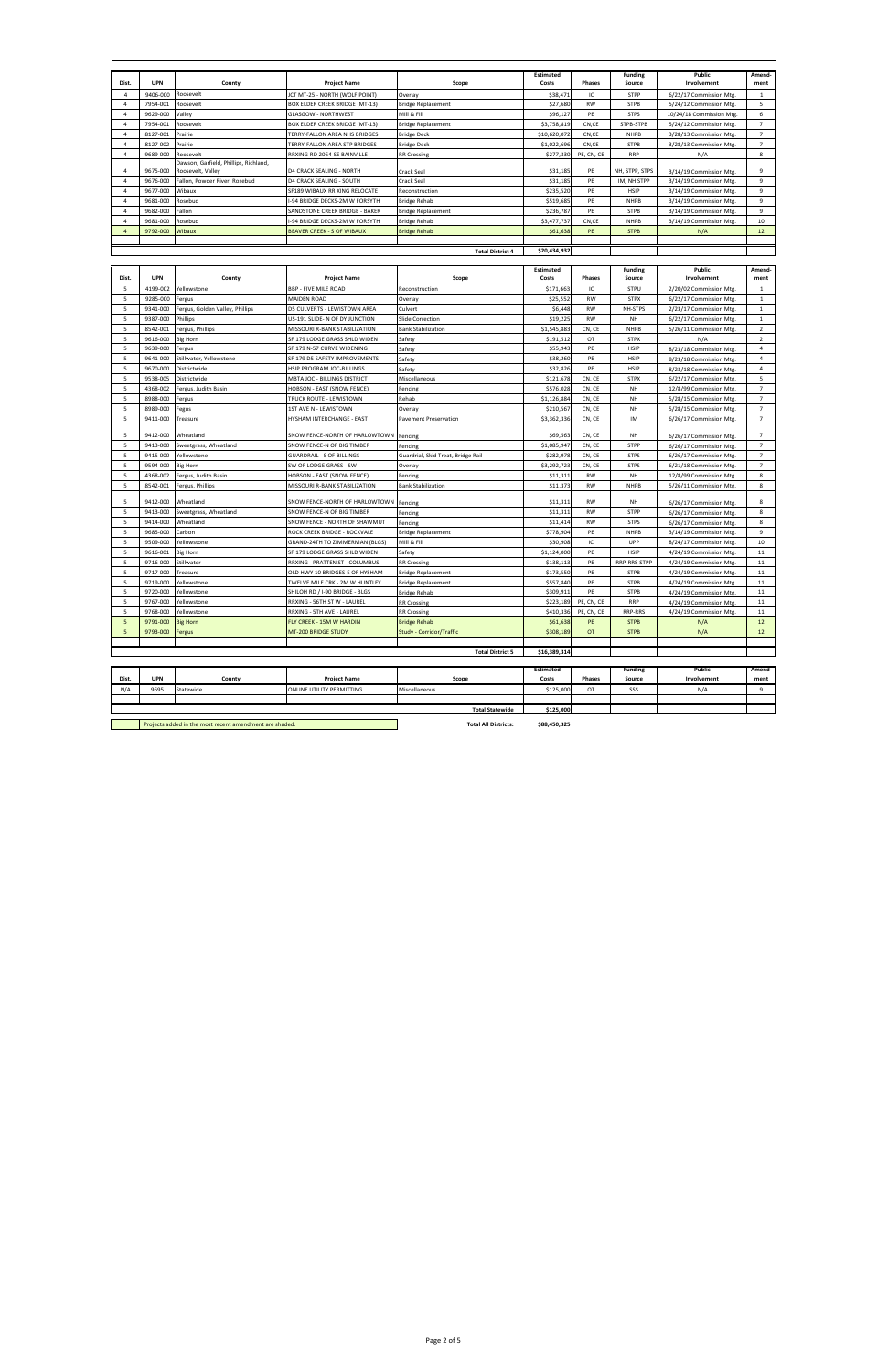|                          | <b>UPN</b> |                                                            |                                       |                                    | Estimated                 | <b>Phases</b> | <b>Funding</b>           | Public                   | Amend-         |
|--------------------------|------------|------------------------------------------------------------|---------------------------------------|------------------------------------|---------------------------|---------------|--------------------------|--------------------------|----------------|
| Dist.                    |            | County                                                     | <b>Project Name</b>                   | Scope                              | Costs                     |               | Source                   | Involvement              | ment           |
| $\overline{4}$           | 9406-000   | Roosevelt                                                  | ICT MT-25 - NORTH (WOLF POINT)        | Overlay                            | \$38,471                  | IC            | <b>STPP</b>              | 6/22/17 Commission Mtg.  | $\mathbf{1}$   |
| 4                        | 7954-001   | Roosevelt                                                  | BOX ELDER CREEK BRIDGE (MT-13)        | <b>Bridge Replacement</b>          | \$27,680                  | <b>RW</b>     | <b>STPB</b>              | 5/24/12 Commission Mtg.  | 5              |
| $\overline{4}$           | 9629-000   | Valley                                                     | <b>GLASGOW - NORTHWEST</b>            | Mill & Fill                        | \$96,127                  | PE            | <b>STPS</b>              | 10/24/18 Commission Mtg. | 6              |
| 4                        | 7954-001   | Roosevelt                                                  | <b>BOX ELDER CREEK BRIDGE (MT-13)</b> | <b>Bridge Replacement</b>          | \$3,758,819               | CN,CE         | STPB-STPB                | 5/24/12 Commission Mtg.  | $\overline{7}$ |
| 4                        | 8127-001   | Prairie                                                    | TERRY-FALLON AREA NHS BRIDGES         | <b>Bridge Deck</b>                 | \$10,620,072              | CN,CE         | <b>NHPB</b>              | 3/28/13 Commission Mtg.  | $\overline{7}$ |
| $\overline{a}$           | 8127-002   | Prairie                                                    | TERRY-FALLON AREA STP BRIDGES         | <b>Bridge Deck</b>                 | \$1,022,696               | CN,CE         | <b>STPB</b>              | 3/28/13 Commission Mtg.  | $\overline{7}$ |
| $\overline{4}$           | 9689-000   | Roosevelt                                                  | RRXING-RD 2064-SE BAINVILLE           | <b>RR Crossing</b>                 | \$277,330                 | PE, CN, CE    | <b>RRP</b>               | N/A                      | 8              |
| 4                        | 9675-000   | Dawson, Garfield, Phillips, Richland,<br>Roosevelt, Valley | D4 CRACK SEALING - NORTH              | Crack Seal                         | \$31,185                  | PE            | NH, STPP, STPS           | 3/14/19 Commission Mtg.  | 9              |
| 4                        | 9676-000   | Fallon, Powder River, Rosebud                              | D4 CRACK SEALING - SOUTH              | Crack Seal                         | \$31,185                  | PE            | IM, NH STPP              | 3/14/19 Commission Mtg.  | $\overline{9}$ |
| $\overline{4}$           | 9677-000   | Wibaux                                                     | SF189 WIBAUX RR XING RELOCATE         | Reconstruction                     | \$235,520                 | PE            | <b>HSIP</b>              | 3/14/19 Commission Mtg.  | $\overline{9}$ |
| $\overline{4}$           | 9681-000   | Rosebud                                                    | -94 BRIDGE DECKS-2M W FORSYTH         | <b>Bridge Rehab</b>                | \$519,685                 | PE            | <b>NHPB</b>              | 3/14/19 Commission Mtg.  | $\overline{9}$ |
| $\overline{4}$           | 9682-000   | Fallon                                                     | SANDSTONE CREEK BRIDGE - BAKER        | <b>Bridge Replacement</b>          | \$236,787                 | PE            | <b>STPB</b>              | 3/14/19 Commission Mtg.  | 9              |
| $\overline{4}$           | 9681-000   | Rosebud                                                    | -94 BRIDGE DECKS-2M W FORSYTH         | <b>Bridge Rehab</b>                | \$3,477,737               | CN,CE         | <b>NHPB</b>              | 3/14/19 Commission Mtg.  | 10             |
| $\overline{4}$           | 9792-000   | Wibaux                                                     | BEAVER CREEK - S OF WIBAUX            | <b>Bridge Rehab</b>                | \$61,638                  | PE            | <b>STPB</b>              | N/A                      | 12             |
|                          |            |                                                            |                                       |                                    |                           |               |                          |                          |                |
|                          |            |                                                            |                                       | <b>Total District 4</b>            | \$20,434,932              |               |                          |                          |                |
|                          |            |                                                            |                                       |                                    |                           |               |                          |                          |                |
|                          |            |                                                            |                                       |                                    | <b>Estimated</b>          |               | <b>Funding</b>           | <b>Public</b>            | Amend-         |
| Dist.                    | <b>UPN</b> | County                                                     | <b>Project Name</b>                   | Scope                              | Costs                     | <b>Phases</b> | Source                   | Involvement              | ment           |
| 5                        | 4199-002   | Yellowstone                                                | <b>BBP - FIVE MILE ROAD</b>           | Reconstruction                     | \$171,663                 | IC            | STPU                     | 2/20/02 Commission Mtg.  | 1              |
| 5                        | 9285-000   | Fergus                                                     | <b>MAIDEN ROAD</b>                    | Overlay                            | \$25,552                  | <b>RW</b>     | <b>STPX</b>              | 6/22/17 Commission Mtg.  | $\mathbf{1}$   |
| 5                        | 9341-000   | Fergus, Golden Valley, Phillips                            | D5 CULVERTS - LEWISTOWN AREA          | Culvert                            | \$6,448                   | <b>RW</b>     | NH-STPS                  | 2/23/17 Commission Mtg.  | $\mathbf{1}$   |
| 5                        | 9387-000   | Phillips                                                   | US-191 SLIDE- N OF DY JUNCTION        | Slide Correction                   | \$19,225                  | <b>RW</b>     | <b>NH</b>                | 6/22/17 Commission Mtg.  | $\mathbf 1$    |
| 5                        | 8542-001   | Fergus, Phillips                                           | MISSOURI R-BANK STABILIZATION         | <b>Bank Stabilization</b>          | \$1,545,883               | CN, CE        | <b>NHPB</b>              | 5/26/11 Commission Mtg.  | $\overline{2}$ |
| 5                        | 9616-000   | <b>Big Horn</b>                                            | SF 179 LODGE GRASS SHLD WIDEN         | Safety                             | \$191,512                 | OT            | <b>STPX</b>              | N/A                      | $\overline{2}$ |
| 5                        | 9639-000   | Fergus                                                     | SF 179 N-57 CURVE WIDENING            | Safety                             | \$55,943                  | PE            | HSIP                     | 8/23/18 Commission Mtg.  | $\overline{4}$ |
| 5                        | 9641-000   | Stillwater, Yellowstone                                    | SF 179 D5 SAFETY IMPROVEMENTS         | Safety                             | \$38,260                  | PE            | <b>HSIP</b>              | 8/23/18 Commission Mtg.  | 4              |
| 5                        | 9670-000   | Districtwide                                               | HSIP PROGRAM JOC-BILLINGS             | Safety                             | \$32,826                  | PE            | HSIP                     | 8/23/18 Commission Mtg.  | $\overline{4}$ |
| 5                        | 9538-005   | Districtwide                                               | MBTA JOC - BILLINGS DISTRICT          | Miscellaneous                      | \$121,678                 | CN, CE        | <b>STPX</b>              | 6/22/17 Commission Mtg.  | 5              |
| 5                        | 4368-002   | Fergus, Judith Basin                                       | HOBSON - EAST (SNOW FENCE)            | Fencing                            | \$576,028                 | CN, CE        | <b>NH</b>                | 12/8/99 Commission Mtg.  | $\overline{7}$ |
| 5                        | 8988-000   | Fergus                                                     | TRUCK ROUTE - LEWISTOWN               | Rehab                              | \$1,126,884               | CN, CE        | <b>NH</b>                | 5/28/15 Commission Mtg.  | $\overline{7}$ |
| 5                        | 8989-000   | Fegus                                                      | 1ST AVE N - LEWISTOWN                 | Overlay                            | \$210,567                 | CN, CE        | <b>NH</b>                | 5/28/15 Commission Mtg.  | $\overline{7}$ |
| 5                        | 9411-000   | Treasure                                                   | HYSHAM INTERCHANGE - EAST             | <b>Pavement Preservation</b>       | \$3,362,336               | CN, CE        | IM                       | 6/26/17 Commission Mtg.  | $\overline{7}$ |
|                          |            |                                                            |                                       |                                    |                           |               |                          |                          |                |
| 5                        | 9412-000   | Wheatland                                                  | SNOW FENCE-NORTH OF HARLOWTOWN        | Fencing                            | \$69,563                  | CN, CE        | <b>NH</b>                | 6/26/17 Commission Mtg.  | $\overline{7}$ |
| 5                        | 9413-000   | Sweetgrass, Wheatland                                      | SNOW FENCE-N OF BIG TIMBER            | Fencing                            | \$1,085,947               | CN, CE        | STPP                     | 6/26/17 Commission Mtg.  | $\overline{7}$ |
| 5                        | 9415-000   | Yellowstone                                                | <b>GUARDRAIL - S OF BILLINGS</b>      | Guardrial, Skid Treat, Bridge Rail | \$282,978                 | CN, CE        | <b>STPS</b>              | 6/26/17 Commission Mtg.  | $\overline{7}$ |
| 5                        | 9594-000   | <b>Big Horn</b>                                            | SW OF LODGE GRASS - SW                | Overlay                            | \$3,292,723               | CN, CE        | <b>STPS</b>              | 6/21/18 Commission Mtg.  | $\overline{7}$ |
| 5                        | 4368-002   | Fergus, Judith Basin                                       | HOBSON - EAST (SNOW FENCE)            | Fencing                            | \$11,311                  | RW            | NH                       | 12/8/99 Commission Mtg.  | 8              |
| 5                        | 8542-001   | Fergus, Phillips                                           | MISSOURI R-BANK STABILIZATION         | <b>Bank Stabilization</b>          | \$11,373                  | RW            | <b>NHPB</b>              | 5/26/11 Commission Mtg.  | 8              |
| 5                        | 9412-000   | Wheatland                                                  | SNOW FENCE-NORTH OF HARLOWTOWN        | Fencing                            | \$11,311                  | RW            | NH                       | 6/26/17 Commission Mtg.  | 8              |
| 5                        | 9413-000   | Sweetgrass, Wheatland                                      | SNOW FENCE-N OF BIG TIMBER            | Fencing                            | \$11,311                  | <b>RW</b>     | STPP                     | 6/26/17 Commission Mtg.  | 8              |
| 5                        | 9414-000   | Wheatland                                                  | SNOW FENCE - NORTH OF SHAWMUT         | Fencing                            | \$11,414                  | <b>RW</b>     | <b>STPS</b>              | 6/26/17 Commission Mtg.  | 8              |
| 5                        | 9685-000   | Carbon                                                     | ROCK CREEK BRIDGE - ROCKVALE          | <b>Bridge Replacement</b>          | \$778,904                 | PE            | <b>NHPB</b>              | 3/14/19 Commission Mtg.  | 9              |
| 5                        | 9509-000   | Yellowstone                                                | GRAND-24TH TO ZIMMERMAN (BLGS)        | Mill & Fill                        | \$30,908                  | IC            | UPP                      | 8/24/17 Commission Mtg.  | 10             |
| 5                        | 9616-001   | <b>Big Horn</b>                                            | SF 179 LODGE GRASS SHLD WIDEN         | Safety                             | \$1,124,000               | PE            | HSIP                     | 4/24/19 Commission Mtg.  | 11             |
| 5                        | 9716-000   | Stillwater                                                 | RRXING - PRATTEN ST - COLUMBUS        | <b>RR Crossing</b>                 | \$138,113                 | PE            | RRP-RRS-STPP             | 4/24/19 Commission Mtg.  | 11             |
| 5                        | 9717-000   | Treasure                                                   | OLD HWY 10 BRIDGES-E OF HYSHAM        | <b>Bridge Replacement</b>          | \$173,550                 | PE            | <b>STPB</b>              | 4/24/19 Commission Mtg.  | 11             |
| 5                        | 9719-000   | Yellowstone                                                | TWELVE MILE CRK - 2M W HUNTLEY        | <b>Bridge Replacement</b>          | \$557,840                 | PE            | <b>STPB</b>              | 4/24/19 Commission Mtg.  | 11             |
| 5                        | 9720-000   | Yellowstone                                                | SHILOH RD / I-90 BRIDGE - BLGS        | <b>Bridge Rehab</b>                | \$309,911                 | PE            | <b>STPB</b>              | 4/24/19 Commission Mtg.  | 11             |
| 5                        | 9767-000   | Yellowstone                                                | RRXING - 56TH ST W - LAUREL           | <b>RR Crossing</b>                 | \$223,189                 | PE, CN, CE    | <b>RRP</b>               | 4/24/19 Commission Mtg.  | 11             |
| 5                        | 9768-000   | Yellowstone                                                | RRXING - 5TH AVE - LAUREL             | <b>RR Crossing</b>                 | \$410,336                 | PE, CN, CE    | RRP-RRS                  | 4/24/19 Commission Mtg.  | 11             |
| $5\phantom{.0}$          | 9791-000   | <b>Big Horn</b>                                            | <b>FLY CREEK - 15M W HARDIN</b>       | <b>Bridge Rehab</b>                | \$61,638                  | PE            | <b>STPB</b>              | N/A                      | 12             |
| $\overline{\phantom{0}}$ | 9793-000   | Fergus                                                     | MT-200 BRIDGE STUDY                   | <b>Study - Corridor/Traffic</b>    | \$308,189                 | OT            | <b>STPB</b>              | N/A                      | 12             |
|                          |            |                                                            |                                       |                                    |                           |               |                          |                          |                |
|                          |            |                                                            |                                       | <b>Total District 5</b>            | \$16,389,314              |               |                          |                          |                |
|                          |            |                                                            |                                       |                                    |                           |               |                          |                          |                |
| Dist.                    | <b>UPN</b> | County                                                     | <b>Project Name</b>                   | Scope                              | <b>Estimated</b><br>Costs | Phases        | <b>Funding</b><br>Source | Public<br>Involvement    | Amend-<br>ment |
| N/A                      | 9695       | Statewide                                                  | ONLINE UTILITY PERMITTING             | Miscellaneous                      | \$125,000                 | OT            | SSS                      | N/A                      | 9              |
|                          |            |                                                            |                                       |                                    |                           |               |                          |                          |                |
|                          |            |                                                            |                                       | <b>Total Statewide</b>             | \$125,000                 |               |                          |                          |                |
|                          |            |                                                            |                                       |                                    |                           |               |                          |                          |                |
|                          |            | Projects added in the most recent amendment are shaded.    |                                       | <b>Total All Districts:</b>        | \$88,450,325              |               |                          |                          |                |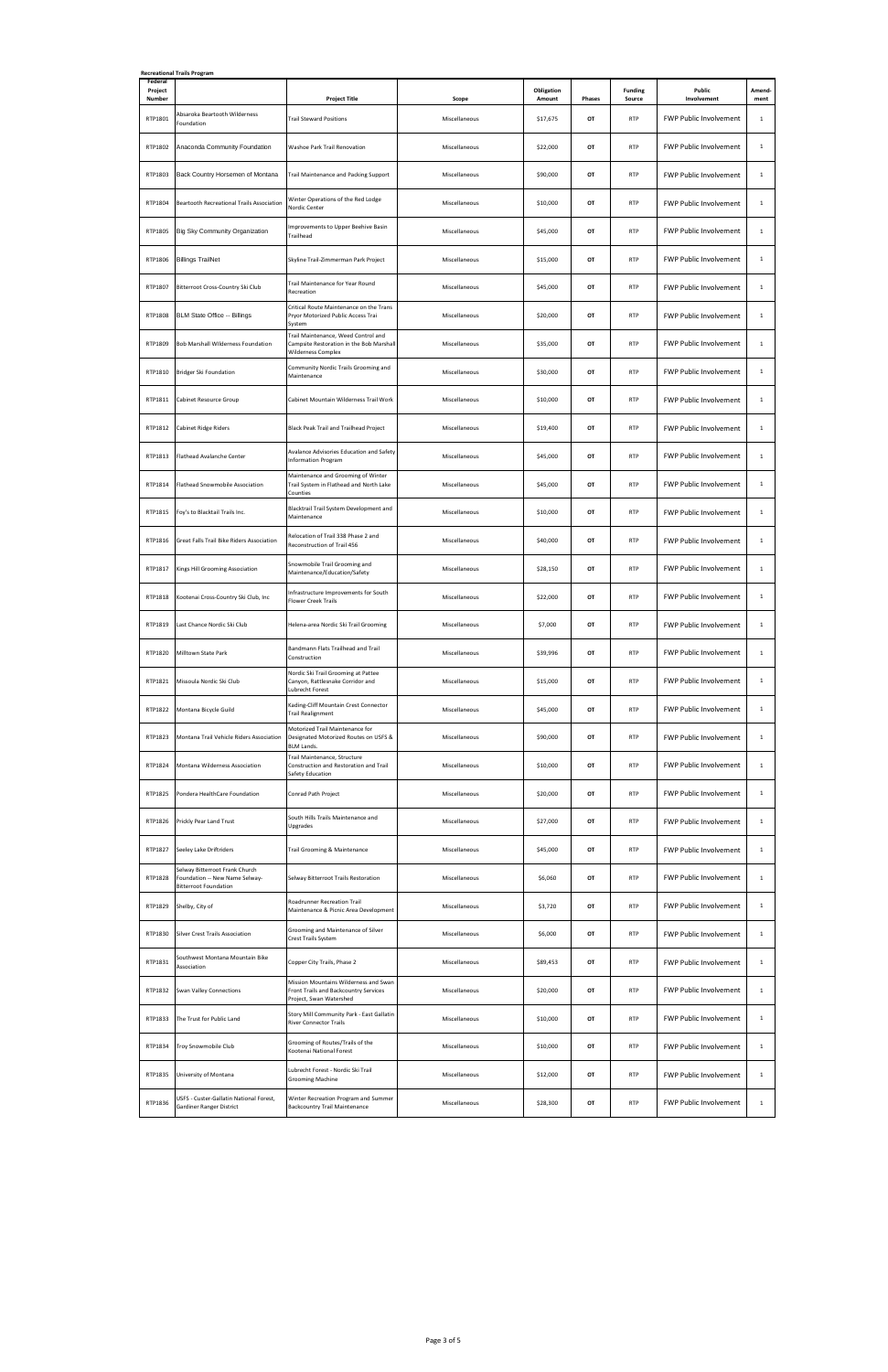| Federal<br>Project | <b>Recreational Trails Program</b>                                                               |                                                                                                              |               | Obligation |        | <b>Funding</b> | Public                        | Amend-       |
|--------------------|--------------------------------------------------------------------------------------------------|--------------------------------------------------------------------------------------------------------------|---------------|------------|--------|----------------|-------------------------------|--------------|
| Number             |                                                                                                  | <b>Project Title</b>                                                                                         | Scope         | Amount     | Phases | Source         | Involvement                   | ment         |
| RTP1801            | Absaroka Beartooth Wilderness<br>Foundation                                                      | <b>Trail Steward Positions</b>                                                                               | Miscellaneous | \$17,675   | OT     | <b>RTP</b>     | FWP Public Involvement        | $\mathbf{1}$ |
| RTP1802            | Anaconda Community Foundation                                                                    | Washoe Park Trail Renovation                                                                                 | Miscellaneous | \$22,000   | OT     | <b>RTP</b>     | FWP Public Involvement        | $\mathbf{1}$ |
| RTP1803            | Back Country Horsemen of Montana                                                                 | Trail Maintenance and Packing Support                                                                        | Miscellaneous | \$90,000   | OT     | <b>RTP</b>     | <b>FWP Public Involvement</b> | $\mathbf{1}$ |
| RTP1804            | Beartooth Recreational Trails Association                                                        | Winter Operations of the Red Lodge<br>Nordic Center                                                          | Miscellaneous | \$10,000   | OT     | <b>RTP</b>     | <b>FWP Public Involvement</b> | $\mathbf{1}$ |
| RTP1805            | Big Sky Community Organization                                                                   | Improvements to Upper Beehive Basin<br>Trailhead                                                             | Miscellaneous | \$45,000   | OT     | <b>RTP</b>     | <b>FWP Public Involvement</b> | $\mathbf{1}$ |
| RTP1806            | <b>Billings TrailNet</b>                                                                         | Skyline Trail-Zimmerman Park Project                                                                         | Miscellaneous | \$15,000   | OT     | <b>RTP</b>     | FWP Public Involvement        | $\mathbf{1}$ |
| RTP1807            | Bitterroot Cross-Country Ski Club                                                                | Trail Maintenance for Year Round<br>Recreation                                                               | Miscellaneous | \$45,000   | OT     | <b>RTP</b>     | <b>FWP Public Involvement</b> | $\mathbf{1}$ |
| RTP1808            | BLM State Office -- Billings                                                                     | Critical Route Maintenance on the Trans<br>Pryor Motorized Public Access Trai<br>System                      | Miscellaneous | \$20,000   | OT     | <b>RTP</b>     | FWP Public Involvement        | $\mathbf{1}$ |
| RTP1809            | Bob Marshall Wilderness Foundation                                                               | Trail Maintenance, Weed Control and<br>Campsite Restoration in the Bob Marshall<br><b>Wilderness Complex</b> | Miscellaneous | \$35,000   | OT     | <b>RTP</b>     | FWP Public Involvement        | $\mathbf{1}$ |
| RTP1810            | <b>Bridger Ski Foundation</b>                                                                    | Community Nordic Trails Grooming and<br>Maintenance                                                          | Miscellaneous | \$30,000   | OT     | <b>RTP</b>     | <b>FWP Public Involvement</b> | $\mathbf{1}$ |
| RTP1811            | Cabinet Resource Group                                                                           | Cabinet Mountain Wilderness Trail Work                                                                       | Miscellaneous | \$10,000   | OT     | <b>RTP</b>     | FWP Public Involvement        | $\mathbf{1}$ |
| RTP1812            | Cabinet Ridge Riders                                                                             | Black Peak Trail and Trailhead Project                                                                       | Miscellaneous | \$19,400   | OT     | <b>RTP</b>     | <b>FWP Public Involvement</b> | $\mathbf{1}$ |
| RTP1813            | Flathead Avalanche Center                                                                        | Avalance Advisories Education and Safety<br><b>Information Program</b>                                       | Miscellaneous | \$45,000   | OT     | <b>RTP</b>     | FWP Public Involvement        | $\mathbf{1}$ |
| RTP1814            | Flathead Snowmobile Association                                                                  | Maintenance and Grooming of Winter<br>Trail System in Flathead and North Lake<br>Counties                    | Miscellaneous | \$45,000   | OT     | <b>RTP</b>     | FWP Public Involvement        | $\mathbf{1}$ |
| RTP1815            | Foy's to Blacktail Trails Inc.                                                                   | Blacktrail Trail System Development and<br>Maintenance                                                       | Miscellaneous | \$10,000   | OT     | <b>RTP</b>     | <b>FWP Public Involvement</b> | $\mathbf{1}$ |
| RTP1816            | Great Falls Trail Bike Riders Association                                                        | Relocation of Trail 338 Phase 2 and<br>Reconstruction of Trail 456                                           | Miscellaneous | \$40,000   | OT     | <b>RTP</b>     | FWP Public Involvement        | $\mathbf{1}$ |
| RTP1817            | Kings Hill Grooming Association                                                                  | Snowmobile Trail Grooming and<br>Maintenance/Education/Safety                                                | Miscellaneous | \$28,150   | OT     | <b>RTP</b>     | <b>FWP Public Involvement</b> | $\mathbf{1}$ |
| RTP1818            | Kootenai Cross-Country Ski Club, Inc                                                             | Infrastructure Improvements for South<br><b>Flower Creek Trails</b>                                          | Miscellaneous | \$22,000   | OT     | <b>RTP</b>     | FWP Public Involvement        | $\mathbf{1}$ |
| RTP1819            | Last Chance Nordic Ski Club                                                                      | Helena-area Nordic Ski Trail Grooming                                                                        | Miscellaneous | \$7,000    | OT     | <b>RTP</b>     | FWP Public Involvement        | $\mathbf{1}$ |
| RTP1820            | Milltown State Park                                                                              | Bandmann Flats Trailhead and Trail<br>Construction                                                           | Miscellaneous | \$39,996   | OT     | <b>RTP</b>     | FWP Public Involvement        | $\mathbf{1}$ |
| RTP1821            | Missoula Nordic Ski Club                                                                         | Nordic Ski Trail Grooming at Pattee<br>Canyon, Rattlesnake Corridor and<br>Lubrecht Forest                   | Miscellaneous | \$15,000   | OT     | <b>RTP</b>     | <b>FWP Public Involvement</b> | $\mathbf{1}$ |
| RTP1822            | Montana Bicycle Guild                                                                            | Kading-Cliff Mountain Crest Connector<br><b>Trail Realignment</b>                                            | Miscellaneous | \$45,000   | OT     | <b>RTP</b>     | <b>FWP Public Involvement</b> | $\mathbf{1}$ |
| RTP1823            | Montana Trail Vehicle Riders Association                                                         | Motorized Trail Maintenance for<br>Designated Motorized Routes on USFS &<br><b>BLM Lands.</b>                | Miscellaneous | \$90,000   | OT     | <b>RTP</b>     | FWP Public Involvement        | $\mathbf{1}$ |
| RTP1824            | Montana Wilderness Association                                                                   | Trail Maintenance, Structure<br>Construction and Restoration and Trail<br>Safety Education                   | Miscellaneous | \$10,000   | OT     | <b>RTP</b>     | FWP Public Involvement        | $\mathbf{1}$ |
| RTP1825            | Pondera HealthCare Foundation                                                                    | Conrad Path Project                                                                                          | Miscellaneous | \$20,000   | OT     | <b>RTP</b>     | <b>FWP Public Involvement</b> | $\mathbf{1}$ |
| RTP1826            | Prickly Pear Land Trust                                                                          | South Hills Trails Maintenance and<br>Upgrades                                                               | Miscellaneous | \$27,000   | OT     | <b>RTP</b>     | FWP Public Involvement        | $\mathbf{1}$ |
| RTP1827            | Seeley Lake Driftriders                                                                          | Trail Grooming & Maintenance                                                                                 | Miscellaneous | \$45,000   | OT     | <b>RTP</b>     | FWP Public Involvement        | $\mathbf{1}$ |
| RTP1828            | Selway Bitterroot Frank Church<br>Foundation -- New Name Selway-<br><b>Bitterroot Foundation</b> | Selway Bitterroot Trails Restoration                                                                         | Miscellaneous | \$6,060    | OT     | <b>RTP</b>     | <b>FWP Public Involvement</b> | $\mathbf{1}$ |
| RTP1829            | Shelby, City of                                                                                  | Roadrunner Recreation Trail<br>Maintenance & Picnic Area Development                                         | Miscellaneous | \$3,720    | OT     | <b>RTP</b>     | FWP Public Involvement        | $\mathbf{1}$ |
| RTP1830            | <b>Silver Crest Trails Association</b>                                                           | Grooming and Maintenance of Silver<br>Crest Trails System                                                    | Miscellaneous | \$6,000    | OT     | <b>RTP</b>     | FWP Public Involvement        | $\mathbf{1}$ |
| RTP1831            | Southwest Montana Mountain Bike<br>Association                                                   | Copper City Trails, Phase 2                                                                                  | Miscellaneous | \$89,453   | OT     | <b>RTP</b>     | FWP Public Involvement        | $\mathbf{1}$ |
| RTP1832            | <b>Swan Valley Connections</b>                                                                   | Mission Mountains Wilderness and Swan<br>Front Trails and Backcountry Services<br>Project, Swan Watershed    | Miscellaneous | \$20,000   | OT     | <b>RTP</b>     | <b>FWP Public Involvement</b> | $\mathbf{1}$ |
| RTP1833            | The Trust for Public Land                                                                        | Story Mill Community Park - East Gallatin<br><b>River Connector Trails</b>                                   | Miscellaneous | \$10,000   | OT     | <b>RTP</b>     | <b>FWP Public Involvement</b> | $\mathbf{1}$ |
| RTP1834            | Troy Snowmobile Club                                                                             | Grooming of Routes/Trails of the<br>Kootenai National Forest                                                 | Miscellaneous | \$10,000   | OT     | <b>RTP</b>     | FWP Public Involvement        | $\mathbf{1}$ |
|                    | RTP1835 University of Montana                                                                    | Lubrecht Forest - Nordic Ski Trail<br>Grooming Machine                                                       | Miscellaneous | \$12,000   | OT     | <b>RTP</b>     | FWP Public Involvement        | $\mathbf{1}$ |
| RTP1836            | USFS - Custer-Gallatin National Forest,<br><b>Gardiner Ranger District</b>                       | Winter Recreation Program and Summer<br><b>Backcountry Trail Maintenance</b>                                 | Miscellaneous | \$28,300   | OT     | <b>RTP</b>     | FWP Public Involvement        | $\mathbf{1}$ |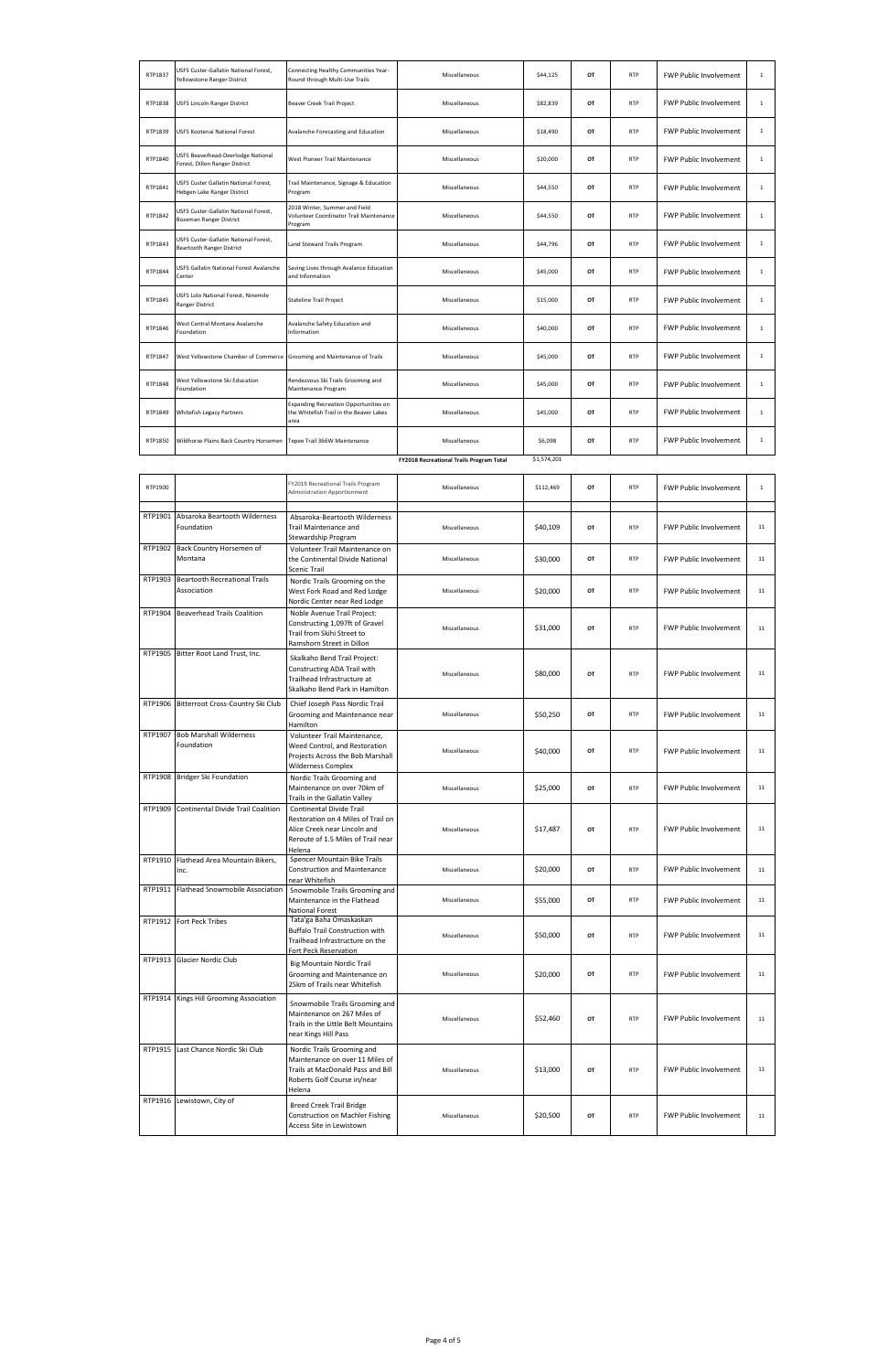| RTP1837 | USFS Custer-Gallatin National Forest,<br>Yellowstone Ranger District      | Connecting Healthy Communities Year-<br>Round through Multi-Use Trails                                                               | Miscellaneous                            | \$44,125    | OT | <b>RTP</b> | FWP Public Involvement        | $\mathbf{1}$ |
|---------|---------------------------------------------------------------------------|--------------------------------------------------------------------------------------------------------------------------------------|------------------------------------------|-------------|----|------------|-------------------------------|--------------|
| RTP1838 | <b>USFS Lincoln Ranger District</b>                                       | <b>Beaver Creek Trail Project</b>                                                                                                    | Miscellaneous                            | \$82,839    | OT | <b>RTP</b> | <b>FWP Public Involvement</b> | $\mathbf{1}$ |
| RTP1839 | USFS Kootenai National Forest                                             | Avalanche Forecasting and Education                                                                                                  | Miscellaneous                            | \$18,490    | OT | <b>RTP</b> | <b>FWP Public Involvement</b> | $\mathbf 1$  |
| RTP1840 | USFS Beaverhead-Deerlodge National<br>Forest, Dillon Ranger District      | West Pioneer Trail Maintenance                                                                                                       | Miscellaneous                            | \$20,000    | OT | <b>RTP</b> | FWP Public Involvement        | $\mathbf{1}$ |
| RTP1841 | USFS Custer Gallatin National Forest,<br>Hebgen Lake Ranger District      | Trail Maintenance, Signage & Education<br>Program                                                                                    | Miscellaneous                            | \$44,550    | OT | <b>RTP</b> | <b>FWP Public Involvement</b> | $\mathbf{1}$ |
| RTP1842 | USFS Custer-Gallatin National Forest,<br>Bozeman Ranger District          | 2018 Winter, Summer and Field<br>Volunteer Coordinator Trail Maintenance<br>Program                                                  | Miscellaneous                            | \$44,550    | OT | <b>RTP</b> | <b>FWP Public Involvement</b> | $\mathbf{1}$ |
| RTP1843 | USFS Custer-Gallatin National Forest,<br><b>Beartooth Ranger District</b> | Land Steward Trails Program                                                                                                          | Miscellaneous                            | \$44,796    | OT | <b>RTP</b> | <b>FWP Public Involvement</b> | $\mathbf{1}$ |
| RTP1844 | USFS Gallatin National Forest Avalanche<br>Center                         | Saving Lives through Avalance Education<br>and Information                                                                           | Miscellaneous                            | \$45,000    | OT | <b>RTP</b> | <b>FWP Public Involvement</b> | $\mathbf{1}$ |
| RTP1845 | USFS Lolo National Forest, Ninemile<br>Ranger District                    | <b>Stateline Trail Project</b>                                                                                                       | Miscellaneous                            | \$15,000    | OT | <b>RTP</b> | <b>FWP Public Involvement</b> | $\mathbf{1}$ |
| RTP1846 | West Central Montana Avalanche<br>Foundation                              | Avalanche Safety Education and<br>nformation                                                                                         | Miscellaneous                            | \$40,000    | OT | <b>RTP</b> | <b>FWP Public Involvement</b> | $\mathbf{1}$ |
| RTP1847 | West Yellowstone Chamber of Commerce Grooming and Maintenance of Trails   |                                                                                                                                      | Miscellaneous                            | \$45,000    | OT | <b>RTP</b> | <b>FWP Public Involvement</b> | $\mathbf{1}$ |
| RTP1848 | West Yellowstone Ski Education<br>Foundation                              | Rendezvous Ski Trails Grooming and<br>Maintenance Program                                                                            | Miscellaneous                            | \$45,000    | OT | <b>RTP</b> | <b>FWP Public Involvement</b> | $\mathbf{1}$ |
| RTP1849 | Whitefish Legacy Partners                                                 | <b>Expanding Recreation Opportunities on</b><br>the Whitefish Trail in the Beaver Lakes<br>area                                      | Miscellaneous                            | \$45,000    | OT | <b>RTP</b> | <b>FWP Public Involvement</b> | $\mathbf{1}$ |
| RTP1850 | Wildhorse Plains Back Country Horsemen                                    | Tepee Trail 366W Maintenance                                                                                                         | Miscellaneous                            | \$6,098     | OT | <b>RTP</b> | <b>FWP Public Involvement</b> | $\mathbf{1}$ |
|         |                                                                           |                                                                                                                                      | FY2018 Recreational Trails Program Total | \$1,574,201 |    |            |                               |              |
| RTP1900 |                                                                           | FY2019 Recreational Trails Program<br>Administration Apportionment                                                                   | Miscellaneous                            | \$112,469   | OT | <b>RTP</b> | <b>FWP Public Involvement</b> | $\mathbf{1}$ |
|         | RTP1901 Absaroka Beartooth Wilderness<br>Foundation                       | Absaroka-Beartooth Wilderness<br>Trail Maintenance and<br>Stewardship Program                                                        | Miscellaneous                            | \$40,109    | OT | <b>RTP</b> | <b>FWP Public Involvement</b> | 11           |
|         | RTP1902 Back Country Horsemen of<br>Montana                               | Volunteer Trail Maintenance on<br>the Continental Divide National<br>Scenic Trail                                                    | Miscellaneous                            | \$30,000    | OT | <b>RTP</b> | FWP Public Involvement        | 11           |
|         | RTP1903 Beartooth Recreational Trails<br>Association                      | Nordic Trails Grooming on the<br>West Fork Road and Red Lodge<br>Nordic Center near Red Lodge                                        | Miscellaneous                            | \$20,000    | OT | <b>RTP</b> | <b>FWP Public Involvement</b> | 11           |
| RTP1904 | <b>Beaverhead Trails Coalition</b>                                        | Noble Avenue Trail Project:<br>Constructing 1,097ft of Gravel<br>Trail from Skihi Street to<br>Ramshorn Street in Dillon             | Miscellaneous                            | \$31,000    | OT | <b>RTP</b> | <b>FWP Public Involvement</b> | 11           |
|         | RTP1905 Bitter Root Land Trust, Inc.                                      | Skalkaho Bend Trail Project:<br>Constructing ADA Trail with<br>Trailhead Infrastructure at<br>Skalkaho Bend Park in Hamilton         | Miscellaneous                            | \$80,000    | OT | <b>RTP</b> | <b>FWP Public Involvement</b> | 11           |
|         | RTP1906 Bitterroot Cross-Country Ski Club                                 | Chief Joseph Pass Nordic Trail<br>Grooming and Maintenance near<br>Hamilton                                                          | Miscellaneous                            | \$50,250    | OT | <b>RTP</b> | <b>FWP Public Involvement</b> | 11           |
| RTP1907 | <b>Bob Marshall Wilderness</b><br>Foundation                              | Volunteer Trail Maintenance,<br>Weed Control, and Restoration<br>Projects Across the Bob Marshall<br><b>Wilderness Complex</b>       | Miscellaneous                            | \$40,000    | OT | <b>RTP</b> | <b>FWP Public Involvement</b> | 11           |
|         | RTP1908 Bridger Ski Foundation                                            | Nordic Trails Grooming and<br>Maintenance on over 70km of<br>Trails in the Gallatin Valley                                           | Miscellaneous                            | \$25,000    | OT | <b>RTP</b> | FWP Public Involvement        | 11           |
| RTP1909 | <b>Continental Divide Trail Coalition</b>                                 | Continental Divide Trail<br>Restoration on 4 Miles of Trail on<br>Alice Creek near Lincoln and<br>Reroute of 1.5 Miles of Trail near | Miscellaneous                            | \$17,487    | OT | <b>RTP</b> | FWP Public Involvement        | 11           |

|         |                                                | <b>Hamilton</b>                                                                                                                                       |               |          |    |            |                               |    |
|---------|------------------------------------------------|-------------------------------------------------------------------------------------------------------------------------------------------------------|---------------|----------|----|------------|-------------------------------|----|
| RTP1907 | <b>Bob Marshall Wilderness</b><br>Foundation   | Volunteer Trail Maintenance,<br>Weed Control, and Restoration<br>Projects Across the Bob Marshall<br><b>Wilderness Complex</b>                        | Miscellaneous | \$40,000 | OT | <b>RTP</b> | <b>FWP Public Involvement</b> | 11 |
|         | RTP1908 Bridger Ski Foundation                 | Nordic Trails Grooming and<br>Maintenance on over 70km of<br>Trails in the Gallatin Valley                                                            | Miscellaneous | \$25,000 | OT | <b>RTP</b> | <b>FWP Public Involvement</b> | 11 |
|         | RTP1909 Continental Divide Trail Coalition     | <b>Continental Divide Trail</b><br>Restoration on 4 Miles of Trail on<br>Alice Creek near Lincoln and<br>Reroute of 1.5 Miles of Trail near<br>Helena | Miscellaneous | \$17,487 | OT | <b>RTP</b> | <b>FWP Public Involvement</b> | 11 |
|         | RTP1910 Flathead Area Mountain Bikers,<br>Inc. | Spencer Mountain Bike Trails<br>Construction and Maintenance<br>near Whitefish                                                                        | Miscellaneous | \$20,000 | OT | <b>RTP</b> | <b>FWP Public Involvement</b> | 11 |
|         | RTP1911 Flathead Snowmobile Association        | Snowmobile Trails Grooming and<br>Maintenance in the Flathead<br><b>National Forest</b>                                                               | Miscellaneous | \$55,000 | OT | <b>RTP</b> | <b>FWP Public Involvement</b> | 11 |
|         | RTP1912 Fort Peck Tribes                       | Tata'ga Baha Omaskaskan<br><b>Buffalo Trail Construction with</b><br>Trailhead Infrastructure on the<br><b>Fort Peck Reservation</b>                  | Miscellaneous | \$50,000 | OT | <b>RTP</b> | <b>FWP Public Involvement</b> | 11 |
|         | RTP1913 Glacier Nordic Club                    | <b>Big Mountain Nordic Trail</b><br>Grooming and Maintenance on<br>25km of Trails near Whitefish                                                      | Miscellaneous | \$20,000 | OT | <b>RTP</b> | <b>FWP Public Involvement</b> | 11 |

|                                     | Maintenance on 267 Miles of<br>Trails in the Little Belt Mountains<br>near Kings Hill Pass                                                  | Miscellaneous | \$52,460 | OT | <b>RTP</b> | <b>FWP Public Involvement</b> | 11 |
|-------------------------------------|---------------------------------------------------------------------------------------------------------------------------------------------|---------------|----------|----|------------|-------------------------------|----|
| RTP1915 Last Chance Nordic Ski Club | Nordic Trails Grooming and<br>Maintenance on over 11 Miles of<br>Trails at MacDonald Pass and Bill<br>Roberts Golf Course in/near<br>Helena | Miscellaneous | \$13,000 | OT | <b>RTP</b> | <b>FWP Public Involvement</b> | 11 |
| RTP1916 Lewistown, City of          | <b>Breed Creek Trail Bridge</b><br>Construction on Machler Fishing<br>Access Site in Lewistown                                              | Miscellaneous | \$20,500 | OT | <b>RTP</b> | <b>FWP Public Involvement</b> | 11 |

RTP1914 Kings Hill Grooming Association Snowmobile Trails Grooming and